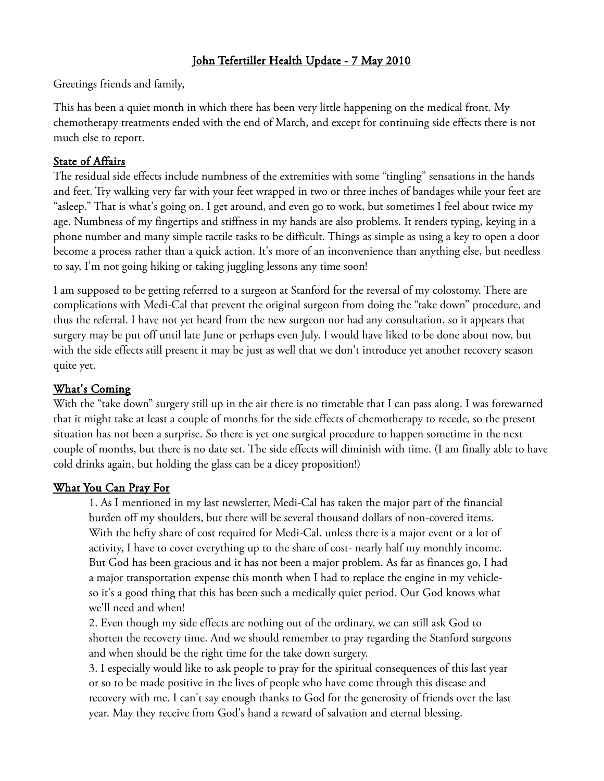# John Tefertiller Health Update - 7 May 2010

Greetings friends and family,

This has been a quiet month in which there has been very little happening on the medical front. My chemotherapy treatments ended with the end of March, and except for continuing side effects there is not much else to report.

# State of Affairs

The residual side effects include numbness of the extremities with some "tingling" sensations in the hands and feet. Try walking very far with your feet wrapped in two or three inches of bandages while your feet are "asleep." That is what's going on. I get around, and even go to work, but sometimes I feel about twice my age. Numbness of my fingertips and stiffness in my hands are also problems. It renders typing, keying in a phone number and many simple tactile tasks to be difficult. Things as simple as using a key to open a door become a process rather than a quick action. It's more of an inconvenience than anything else, but needless to say, I'm not going hiking or taking juggling lessons any time soon!

I am supposed to be getting referred to a surgeon at Stanford for the reversal of my colostomy. There are complications with Medi-Cal that prevent the original surgeon from doing the "take down" procedure, and thus the referral. I have not yet heard from the new surgeon nor had any consultation, so it appears that surgery may be put off until late June or perhaps even July. I would have liked to be done about now, but with the side effects still present it may be just as well that we don't introduce yet another recovery season quite yet.

# What's Coming

With the "take down" surgery still up in the air there is no timetable that I can pass along. I was forewarned that it might take at least a couple of months for the side effects of chemotherapy to recede, so the present situation has not been a surprise. So there is yet one surgical procedure to happen sometime in the next couple of months, but there is no date set. The side effects will diminish with time. (I am finally able to have cold drinks again, but holding the glass can be a dicey proposition!)

### What You Can Pray For

1. As I mentioned in my last newsletter, Medi-Cal has taken the major part of the financial burden off my shoulders, but there will be several thousand dollars of non-covered items. With the hefty share of cost required for Medi-Cal, unless there is a major event or a lot of activity, I have to cover everything up to the share of cost- nearly half my monthly income. But God has been gracious and it has not been a major problem. As far as finances go, I had a major transportation expense this month when I had to replace the engine in my vehicleso it's a good thing that this has been such a medically quiet period. Our God knows what we'll need and when!

2. Even though my side effects are nothing out of the ordinary, we can still ask God to shorten the recovery time. And we should remember to pray regarding the Stanford surgeons and when should be the right time for the take down surgery.

3. I especially would like to ask people to pray for the spiritual consequences of this last year or so to be made positive in the lives of people who have come through this disease and recovery with me. I can't say enough thanks to God for the generosity of friends over the last year. May they receive from God's hand a reward of salvation and eternal blessing.